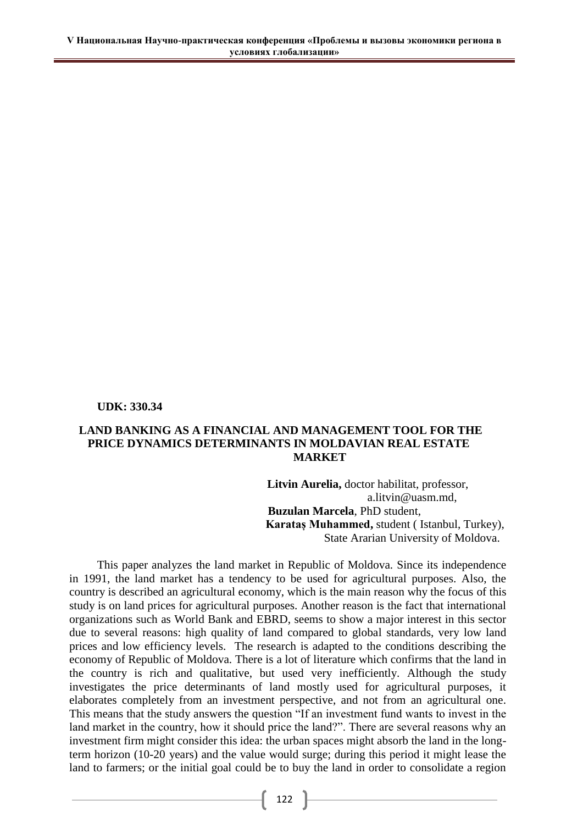**UDK: 330.34** 

## LAND BANKING AS A FINANCIAL AND MANAGEMENT TOOL FOR THE PRICE DYNAMICS DETERMINANTS IN MOLDAVIAN REAL ESTATE **MARKET**

Litvin Aurelia, doctor habilitat, professor,  $a$ . litvin@uasm. md. **Buzulan Marcela**, PhD student, Karataş Muhammed, student (Istanbul, Turkey), State Ararian University of Moldova.

This paper analyzes the land market in Republic of Moldova. Since its independence in 1991, the land market has a tendency to be used for agricultural purposes. Also, the country is described an agricultural economy, which is the main reason why the focus of this study is on land prices for agricultural purposes. Another reason is the fact that international organizations such as World Bank and EBRD, seems to show a major interest in this sector due to several reasons: high quality of land compared to global standards, very low land prices and low efficiency levels. The research is adapted to the conditions describing the economy of Republic of Moldova. There is a lot of literature which confirms that the land in the country is rich and qualitative, but used very inefficiently. Although the study investigates the price determinants of land mostly used for agricultural purposes, it elaborates completely from an investment perspective, and not from an agricultural one. This means that the study answers the question "If an investment fund wants to invest in the land market in the country, how it should price the land?". There are several reasons why an investment firm might consider this idea: the urban spaces might absorb the land in the longterm horizon (10-20 years) and the value would surge; during this period it might lease the land to farmers; or the initial goal could be to buy the land in order to consolidate a region

 $\left\{ \begin{array}{c} 122 \end{array} \right\}$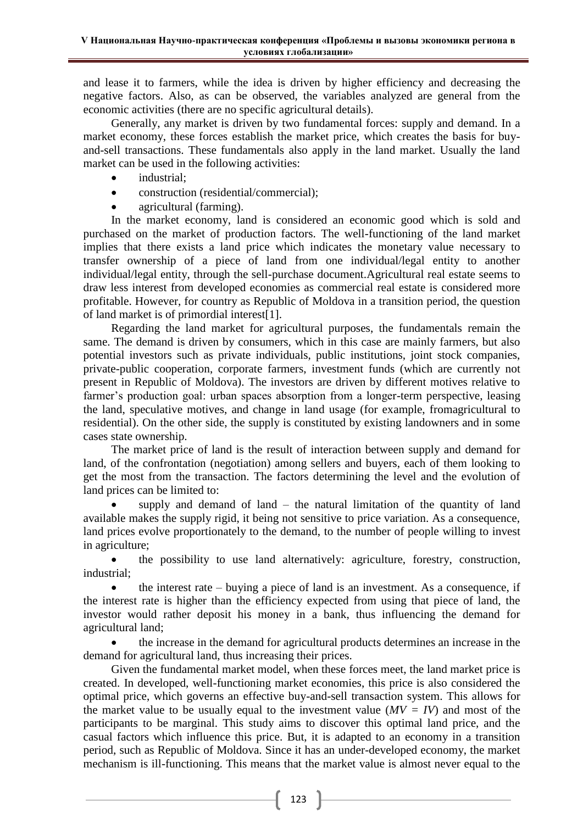and lease it to farmers, while the idea is driven by higher efficiency and decreasing the negative factors. Also, as can be observed, the variables analyzed are general from the economic activities (there are no specific agricultural details).

Generally, any market is driven by two fundamental forces: supply and demand. In a market economy, these forces establish the market price, which creates the basis for buyand-sell transactions. These fundamentals also apply in the land market. Usually the land market can be used in the following activities:

- industrial:  $\bullet$
- construction (residential/commercial):  $\bullet$
- agricultural (farming).

In the market economy, land is considered an economic good which is sold and purchased on the market of production factors. The well-functioning of the land market implies that there exists a land price which indicates the monetary value necessary to transfer ownership of a piece of land from one individual/legal entity to another individual/legal entity, through the sell-purchase document. Agricultural real estate seems to draw less interest from developed economies as commercial real estate is considered more profitable. However, for country as Republic of Moldova in a transition period, the question of land market is of primordial interest[1].

Regarding the land market for agricultural purposes, the fundamentals remain the same. The demand is driven by consumers, which in this case are mainly farmers, but also potential investors such as private individuals, public institutions, joint stock companies, private-public cooperation, corporate farmers, investment funds (which are currently not present in Republic of Moldova). The investors are driven by different motives relative to farmer's production goal: urban spaces absorption from a longer-term perspective, leasing the land, speculative motives, and change in land usage (for example, fromagricultural to residential). On the other side, the supply is constituted by existing landowners and in some cases state ownership.

The market price of land is the result of interaction between supply and demand for land, of the confrontation (negotiation) among sellers and buyers, each of them looking to get the most from the transaction. The factors determining the level and the evolution of land prices can be limited to:

supply and demand of land  $-$  the natural limitation of the quantity of land available makes the supply rigid, it being not sensitive to price variation. As a consequence, land prices evolve proportionately to the demand, to the number of people willing to invest in agriculture;

the possibility to use land alternatively: agriculture, forestry, construction, industrial;

the interest rate – buying a piece of land is an investment. As a consequence, if  $\bullet$ the interest rate is higher than the efficiency expected from using that piece of land, the investor would rather deposit his money in a bank, thus influencing the demand for agricultural land;

the increase in the demand for agricultural products determines an increase in the demand for agricultural land, thus increasing their prices.

Given the fundamental market model, when these forces meet, the land market price is created. In developed, well-functioning market economies, this price is also considered the optimal price, which governs an effective buy-and-sell transaction system. This allows for the market value to be usually equal to the investment value  $(MV = IV)$  and most of the participants to be marginal. This study aims to discover this optimal land price, and the casual factors which influence this price. But, it is adapted to an economy in a transition period, such as Republic of Moldova. Since it has an under-developed economy, the market mechanism is ill-functioning. This means that the market value is almost never equal to the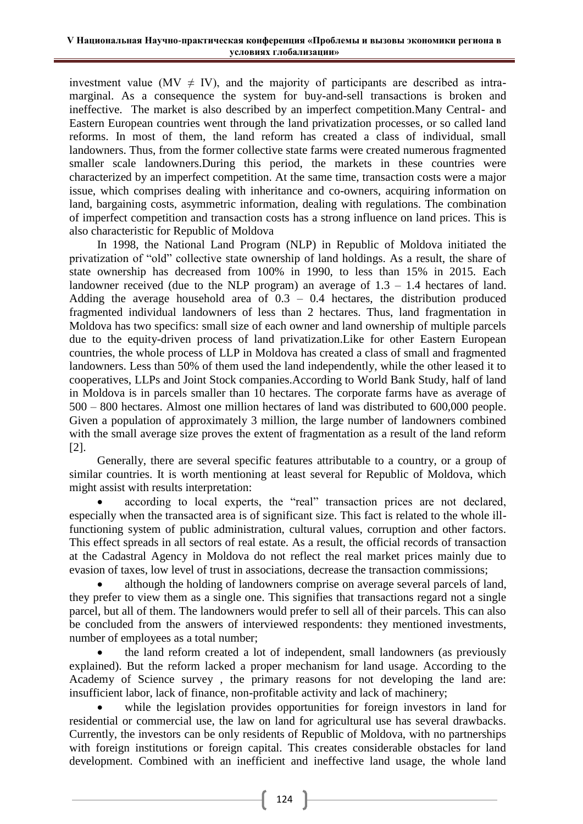investment value (MV  $\neq$  IV), and the majority of participants are described as intramarginal. As a consequence the system for buy-and-sell transactions is broken and ineffective. The market is also described by an imperfect competition. Many Central- and Eastern European countries went through the land privatization processes, or so called land reforms. In most of them, the land reform has created a class of individual, small landowners. Thus, from the former collective state farms were created numerous fragmented smaller scale landowners. During this period, the markets in these countries were characterized by an imperfect competition. At the same time, transaction costs were a major issue, which comprises dealing with inheritance and co-owners, acquiring information on land, bargaining costs, asymmetric information, dealing with regulations. The combination of imperfect competition and transaction costs has a strong influence on land prices. This is also characteristic for Republic of Moldova

In 1998, the National Land Program (NLP) in Republic of Moldova initiated the privatization of "old" collective state ownership of land holdings. As a result, the share of state ownership has decreased from 100% in 1990, to less than 15% in 2015. Each landowner received (due to the NLP program) an average of  $1.3 - 1.4$  hectares of land. Adding the average household area of  $0.3 - 0.4$  hectares, the distribution produced fragmented individual landowners of less than 2 hectares. Thus, land fragmentation in Moldova has two specifics: small size of each owner and land ownership of multiple parcels due to the equity-driven process of land privatization. Like for other Eastern European countries, the whole process of LLP in Moldova has created a class of small and fragmented landowners. Less than 50% of them used the land independently, while the other leased it to cooperatives, LLPs and Joint Stock companies. According to World Bank Study, half of land in Moldova is in parcels smaller than 10 hectares. The corporate farms have as average of  $500 - 800$  hectares. Almost one million hectares of land was distributed to 600,000 people. Given a population of approximately 3 million, the large number of landowners combined with the small average size proves the extent of fragmentation as a result of the land reform  $\lceil 2 \rceil$ .

Generally, there are several specific features attributable to a country, or a group of similar countries. It is worth mentioning at least several for Republic of Moldova, which might assist with results interpretation:

according to local experts, the "real" transaction prices are not declared, especially when the transacted area is of significant size. This fact is related to the whole illfunctioning system of public administration, cultural values, corruption and other factors. This effect spreads in all sectors of real estate. As a result, the official records of transaction at the Cadastral Agency in Moldova do not reflect the real market prices mainly due to evasion of taxes, low level of trust in associations, decrease the transaction commissions;

although the holding of landowners comprise on average several parcels of land, they prefer to view them as a single one. This signifies that transactions regard not a single parcel, but all of them. The landowners would prefer to sell all of their parcels. This can also be concluded from the answers of interviewed respondents: they mentioned investments, number of employees as a total number;

the land reform created a lot of independent, small landowners (as previously explained). But the reform lacked a proper mechanism for land usage. According to the Academy of Science survey, the primary reasons for not developing the land are: insufficient labor, lack of finance, non-profitable activity and lack of machinery;

while the legislation provides opportunities for foreign investors in land for residential or commercial use, the law on land for agricultural use has several drawbacks. Currently, the investors can be only residents of Republic of Moldova, with no partnerships with foreign institutions or foreign capital. This creates considerable obstacles for land development. Combined with an inefficient and ineffective land usage, the whole land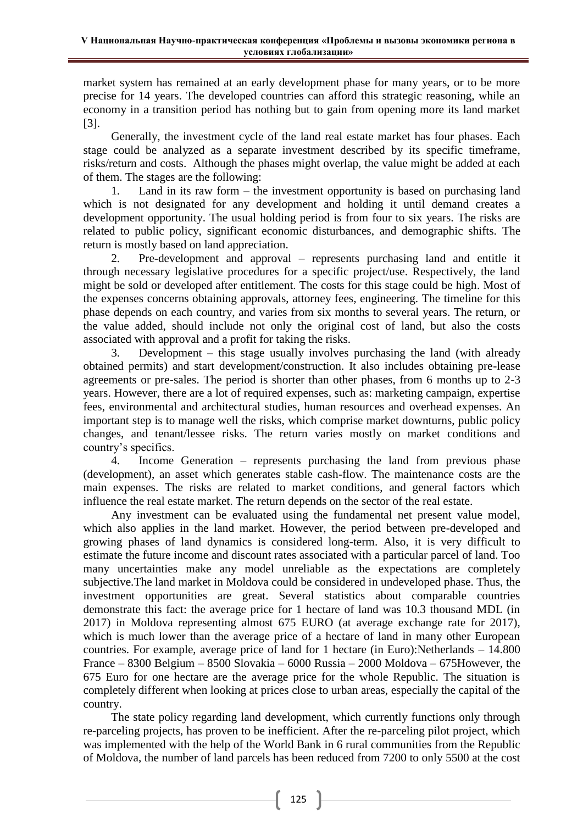market system has remained at an early development phase for many years, or to be more precise for 14 years. The developed countries can afford this strategic reasoning, while an economy in a transition period has nothing but to gain from opening more its land market  $[3]$ .

Generally, the investment cycle of the land real estate market has four phases. Each stage could be analyzed as a separate investment described by its specific timeframe, risks/return and costs. Although the phases might overlap, the value might be added at each of them. The stages are the following:

Land in its raw form  $-$  the investment opportunity is based on purchasing land 1. which is not designated for any development and holding it until demand creates a development opportunity. The usual holding period is from four to six years. The risks are related to public policy, significant economic disturbances, and demographic shifts. The return is mostly based on land appreciation.

 $\overline{2}$ . Pre-development and approval – represents purchasing land and entitle it through necessary legislative procedures for a specific project/use. Respectively, the land might be sold or developed after entitlement. The costs for this stage could be high. Most of the expenses concerns obtaining approvals, attorney fees, engineering. The timeline for this phase depends on each country, and varies from six months to several years. The return, or the value added, should include not only the original cost of land, but also the costs associated with approval and a profit for taking the risks.

 $3.$ Development – this stage usually involves purchasing the land (with already obtained permits) and start development/construction. It also includes obtaining pre-lease agreements or pre-sales. The period is shorter than other phases, from 6 months up to 2-3 years. However, there are a lot of required expenses, such as: marketing campaign, expertise fees, environmental and architectural studies, human resources and overhead expenses. An important step is to manage well the risks, which comprise market downturns, public policy changes, and tenant/lessee risks. The return varies mostly on market conditions and country's specifics.

 $\overline{4}$ Income Generation – represents purchasing the land from previous phase (development), an asset which generates stable cash-flow. The maintenance costs are the main expenses. The risks are related to market conditions, and general factors which influence the real estate market. The return depends on the sector of the real estate.

Any investment can be evaluated using the fundamental net present value model, which also applies in the land market. However, the period between pre-developed and growing phases of land dynamics is considered long-term. Also, it is very difficult to estimate the future income and discount rates associated with a particular parcel of land. Too many uncertainties make any model unreliable as the expectations are completely subjective. The land market in Moldova could be considered in undeveloped phase. Thus, the investment opportunities are great. Several statistics about comparable countries demonstrate this fact: the average price for 1 hectare of land was 10.3 thousand MDL (in 2017) in Moldova representing almost 675 EURO (at average exchange rate for 2017), which is much lower than the average price of a hectare of land in many other European countries. For example, average price of land for 1 hectare (in Euro): Netherlands – 14.800 France – 8300 Belgium – 8500 Slovakia – 6000 Russia – 2000 Moldova – 675 However, the 675 Euro for one hectare are the average price for the whole Republic. The situation is completely different when looking at prices close to urban areas, especially the capital of the country.

The state policy regarding land development, which currently functions only through re-parceling projects, has proven to be inefficient. After the re-parceling pilot project, which was implemented with the help of the World Bank in 6 rural communities from the Republic of Moldova, the number of land parcels has been reduced from 7200 to only 5500 at the cost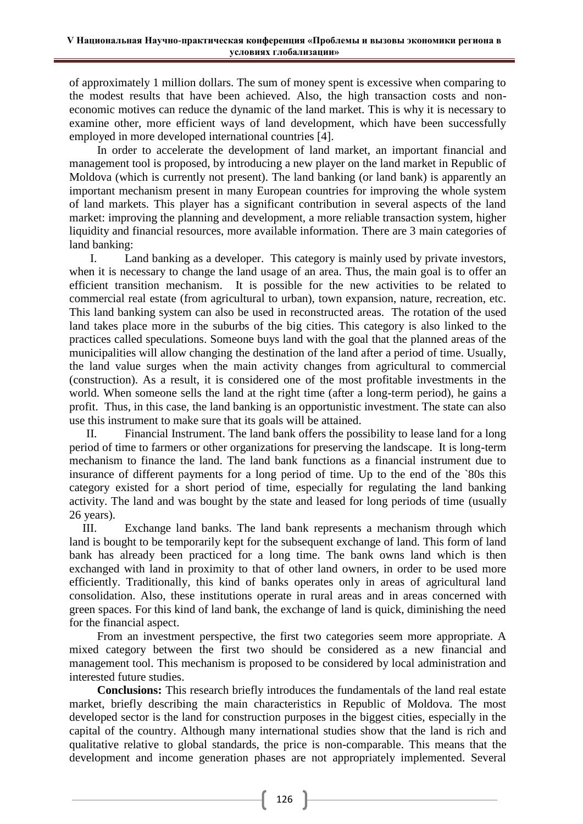of approximately 1 million dollars. The sum of money spent is excessive when comparing to the modest results that have been achieved. Also, the high transaction costs and noneconomic motives can reduce the dynamic of the land market. This is why it is necessary to examine other, more efficient ways of land development, which have been successfully employed in more developed international countries [4].

In order to accelerate the development of land market, an important financial and management tool is proposed, by introducing a new player on the land market in Republic of Moldova (which is currently not present). The land banking (or land bank) is apparently an important mechanism present in many European countries for improving the whole system of land markets. This player has a significant contribution in several aspects of the land market: improving the planning and development, a more reliable transaction system, higher liquidity and financial resources, more available information. There are 3 main categories of land banking:

Land banking as a developer. This category is mainly used by private investors, L. when it is necessary to change the land usage of an area. Thus, the main goal is to offer an efficient transition mechanism. It is possible for the new activities to be related to commercial real estate (from agricultural to urban), town expansion, nature, recreation, etc. This land banking system can also be used in reconstructed areas. The rotation of the used land takes place more in the suburbs of the big cities. This category is also linked to the practices called speculations. Someone buys land with the goal that the planned areas of the municipalities will allow changing the destination of the land after a period of time. Usually, the land value surges when the main activity changes from agricultural to commercial (construction). As a result, it is considered one of the most profitable investments in the world. When someone sells the land at the right time (after a long-term period), he gains a profit. Thus, in this case, the land banking is an opportunistic investment. The state can also use this instrument to make sure that its goals will be attained.

 $\Pi$ . Financial Instrument. The land bank offers the possibility to lease land for a long period of time to farmers or other organizations for preserving the landscape. It is long-term mechanism to finance the land. The land bank functions as a financial instrument due to insurance of different payments for a long period of time. Up to the end of the `80s this category existed for a short period of time, especially for regulating the land banking activity. The land and was bought by the state and leased for long periods of time (usually 26 years).

III. Exchange land banks. The land bank represents a mechanism through which land is bought to be temporarily kept for the subsequent exchange of land. This form of land bank has already been practiced for a long time. The bank owns land which is then exchanged with land in proximity to that of other land owners, in order to be used more efficiently. Traditionally, this kind of banks operates only in areas of agricultural land consolidation. Also, these institutions operate in rural areas and in areas concerned with green spaces. For this kind of land bank, the exchange of land is quick, diminishing the need for the financial aspect.

From an investment perspective, the first two categories seem more appropriate. A mixed category between the first two should be considered as a new financial and management tool. This mechanism is proposed to be considered by local administration and interested future studies.

Conclusions: This research briefly introduces the fundamentals of the land real estate market, briefly describing the main characteristics in Republic of Moldova. The most developed sector is the land for construction purposes in the biggest cities, especially in the capital of the country. Although many international studies show that the land is rich and qualitative relative to global standards, the price is non-comparable. This means that the development and income generation phases are not appropriately implemented. Several